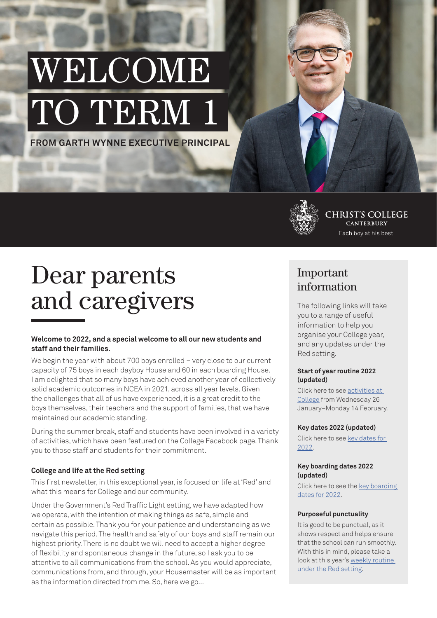# WELCOME TO TERM 1

**FROM GARTH WYNNE EXECUTIVE PRINCIPAL**



**CHRIST'S COLLEGE CANTERBURY** Each boy at his best.

# Dear parents and caregivers

#### **Welcome to 2022, and a special welcome to all our new students and staff and their families.**

We begin the year with about 700 boys enrolled – very close to our current capacity of 75 boys in each dayboy House and 60 in each boarding House. I am delighted that so many boys have achieved another year of collectively solid academic outcomes in NCEA in 2021, across all year levels. Given the challenges that all of us have experienced, it is a great credit to the boys themselves, their teachers and the support of families, that we have maintained our academic standing.

During the summer break, staff and students have been involved in a variety of activities, which have been featured on the College Facebook page. Thank you to those staff and students for their commitment.

#### **College and life at the Red setting**

This first newsletter, in this exceptional year, is focused on life at 'Red' and what this means for College and our community.

Under the Government's Red Traffic Light setting, we have adapted how we operate, with the intention of making things as safe, simple and certain as possible. Thank you for your patience and understanding as we navigate this period. The health and safety of our boys and staff remain our highest priority. There is no doubt we will need to accept a higher degree of flexibility and spontaneous change in the future, so I ask you to be attentive to all communications from the school. As you would appreciate, communications from, and through, your Housemaster will be as important as the information directed from me. So, here we go...

## Important information

The following links will take you to a range of useful information to help you organise your College year, and any updates under the Red setting.

#### **Start of year routine 2022 (updated)**

Click here to see [activities at](https://christscollege.com/assets/Start-of-Year-Routine-2022-%E2%80%93-revised.pdf)  [College](https://christscollege.com/assets/Start-of-Year-Routine-2022-%E2%80%93-revised.pdf) from Wednesday 26 January–Monday 14 February.

#### **Key dates 2022 (updated)**

Click here to see [key dates for](https://christscollege.com/assets/Key-Dates-for-2022-%E2%80%93-revised.pdf)  [2022.](https://christscollege.com/assets/Key-Dates-for-2022-%E2%80%93-revised.pdf)

#### **Key boarding dates 2022 (updated)**

Click here to see the [key boarding](https://christscollege.com/assets/Key-Boarding-Dates-for-2022-%E2%80%93-revised.pdf)  [dates for 2022.](https://christscollege.com/assets/Key-Boarding-Dates-for-2022-%E2%80%93-revised.pdf)

#### **Purposeful punctuality**

It is good to be punctual, as it shows respect and helps ensure that the school can run smoothly. With this in mind, please take a look at this year's [weekly routine](https://christscollege.com/college-life/weekly-routine)  [under the Red setting.](https://christscollege.com/college-life/weekly-routine)